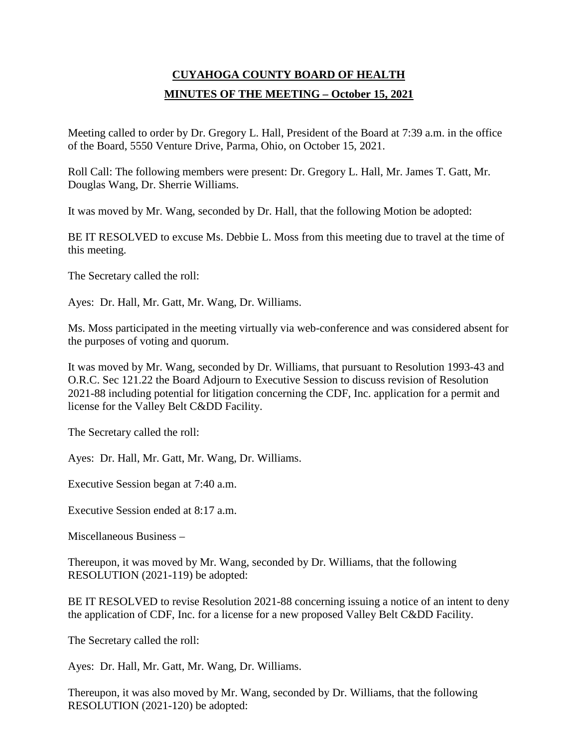## **CUYAHOGA COUNTY BOARD OF HEALTH MINUTES OF THE MEETING – October 15, 2021**

Meeting called to order by Dr. Gregory L. Hall, President of the Board at 7:39 a.m. in the office of the Board, 5550 Venture Drive, Parma, Ohio, on October 15, 2021.

Roll Call: The following members were present: Dr. Gregory L. Hall, Mr. James T. Gatt, Mr. Douglas Wang, Dr. Sherrie Williams.

It was moved by Mr. Wang, seconded by Dr. Hall, that the following Motion be adopted:

BE IT RESOLVED to excuse Ms. Debbie L. Moss from this meeting due to travel at the time of this meeting.

The Secretary called the roll:

Ayes: Dr. Hall, Mr. Gatt, Mr. Wang, Dr. Williams.

Ms. Moss participated in the meeting virtually via web-conference and was considered absent for the purposes of voting and quorum.

It was moved by Mr. Wang, seconded by Dr. Williams, that pursuant to Resolution 1993-43 and O.R.C. Sec 121.22 the Board Adjourn to Executive Session to discuss revision of Resolution 2021-88 including potential for litigation concerning the CDF, Inc. application for a permit and license for the Valley Belt C&DD Facility.

The Secretary called the roll:

Ayes: Dr. Hall, Mr. Gatt, Mr. Wang, Dr. Williams.

Executive Session began at 7:40 a.m.

Executive Session ended at 8:17 a.m.

Miscellaneous Business –

Thereupon, it was moved by Mr. Wang, seconded by Dr. Williams, that the following RESOLUTION (2021-119) be adopted:

BE IT RESOLVED to revise Resolution 2021-88 concerning issuing a notice of an intent to deny the application of CDF, Inc. for a license for a new proposed Valley Belt C&DD Facility.

The Secretary called the roll:

Ayes: Dr. Hall, Mr. Gatt, Mr. Wang, Dr. Williams.

Thereupon, it was also moved by Mr. Wang, seconded by Dr. Williams, that the following RESOLUTION (2021-120) be adopted: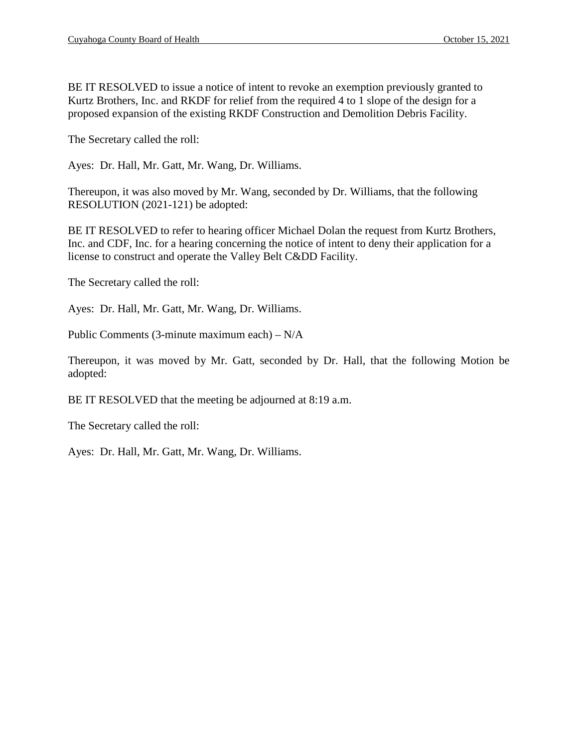BE IT RESOLVED to issue a notice of intent to revoke an exemption previously granted to Kurtz Brothers, Inc. and RKDF for relief from the required 4 to 1 slope of the design for a proposed expansion of the existing RKDF Construction and Demolition Debris Facility.

The Secretary called the roll:

Ayes: Dr. Hall, Mr. Gatt, Mr. Wang, Dr. Williams.

Thereupon, it was also moved by Mr. Wang, seconded by Dr. Williams, that the following RESOLUTION (2021-121) be adopted:

BE IT RESOLVED to refer to hearing officer Michael Dolan the request from Kurtz Brothers, Inc. and CDF, Inc. for a hearing concerning the notice of intent to deny their application for a license to construct and operate the Valley Belt C&DD Facility.

The Secretary called the roll:

Ayes: Dr. Hall, Mr. Gatt, Mr. Wang, Dr. Williams.

Public Comments (3-minute maximum each) – N/A

Thereupon, it was moved by Mr. Gatt, seconded by Dr. Hall, that the following Motion be adopted:

BE IT RESOLVED that the meeting be adjourned at 8:19 a.m.

The Secretary called the roll:

Ayes: Dr. Hall, Mr. Gatt, Mr. Wang, Dr. Williams.